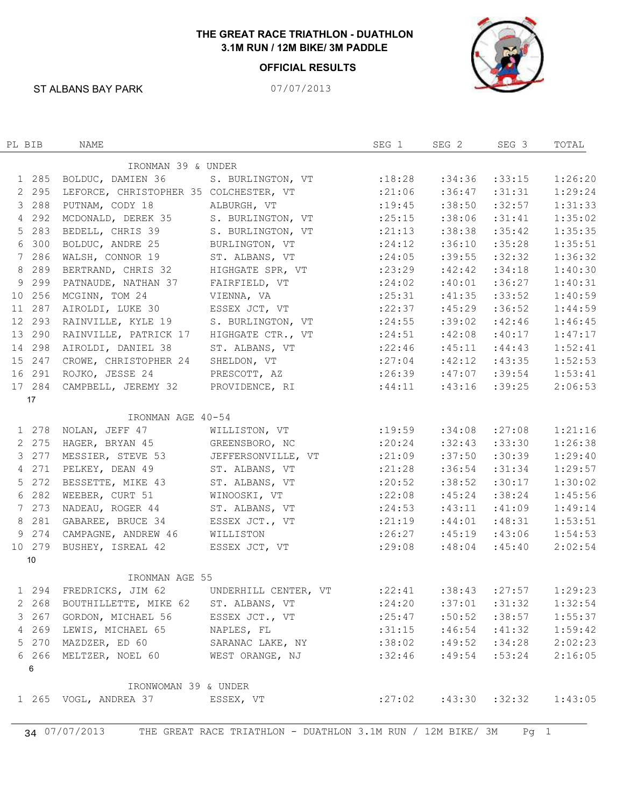## **THE GREAT RACE TRIATHLON - DUATHLON 3.1M RUN / 12M BIKE/ 3M PADDLE**

## **OFFICIAL RESULTS**



ST ALBANS BAY PARK 07/07/2013

| PL BIB |         | NAME                                                               |                            | SEG 1    | SEG 2  | SEG 3  | TOTAL   |
|--------|---------|--------------------------------------------------------------------|----------------------------|----------|--------|--------|---------|
|        |         | IRONMAN 39 & UNDER                                                 |                            |          |        |        |         |
|        | 1 285   | BOLDUC, DAMIEN 36                                                  | S. BURLINGTON, VT :18:28   |          | :34:36 | :33:15 | 1:26:20 |
|        | 2 2 9 5 | LEFORCE, CHRISTOPHER 35 COLCHESTER, VT                             |                            | :21:06   | :36:47 | :31:31 | 1:29:24 |
|        | 3 288   | PUTNAM, CODY 18                                                    | ALBURGH, VT                | : 19:45  | :38:50 | :32:57 | 1:31:33 |
|        | 4 292   | MCDONALD, DEREK 35                                                 | S. BURLINGTON, VT          | : 25:15  | :38:06 | :31:41 | 1:35:02 |
|        | 5 283   | BEDELL, CHRIS 39                                                   | S. BURLINGTON, VT          | : 21:13  | :38:38 | :35:42 | 1:35:35 |
|        | 6 300   | BOLDUC, ANDRE 25                                                   | BURLINGTON, VT             | : 24:12  | :36:10 | :35:28 | 1:35:51 |
|        | 7 286   | WALSH, CONNOR 19                                                   | ST. ALBANS, VT             | : 24:05  | :39:55 | :32:32 | 1:36:32 |
|        | 8 289   | BERTRAND, CHRIS 32                                                 | HIGHGATE SPR, VT           | : 23:29  | :42:42 | :34:18 | 1:40:30 |
|        | 9 2 9 9 | PATNAUDE, NATHAN 37                                                | FAIRFIELD, VT              | : 24:02  | :40:01 | :36:27 | 1:40:31 |
|        | 10 256  | MCGINN, TOM 24                                                     | VIENNA, VA                 | :25:31   | :41:35 | :33:52 | 1:40:59 |
|        | 11 287  | AIROLDI, LUKE 30                                                   | ESSEX JCT, VT              | : 22: 37 | :45:29 | :36:52 | 1:44:59 |
|        | 12 293  | RAINVILLE, KYLE 19                                                 | S. BURLINGTON, VT :24:55   |          | :39:02 | :42:46 | 1:46:45 |
|        | 13 290  | RAINVILLE, PATRICK 17                                              | HIGHGATE CTR., VT          | : 24:51  | :42:08 | :40:17 | 1:47:17 |
|        | 14 298  | AIROLDI, DANIEL 38                                                 | ST. ALBANS, VT             | :22:46   | :45:11 | :44:43 | 1:52:41 |
|        | 15 247  | CROWE, CHRISTOPHER 24                                              | SHELDON, VT                | : 27:04  | :42:12 | :43:35 | 1:52:53 |
|        | 16 291  | ROJKO, JESSE 24                                                    | PRESCOTT, AZ :26:39 :47:07 |          |        | :39:54 | 1:53:41 |
|        | 17 284  | CAMPBELL, JEREMY 32                                                | PROVIDENCE, RI :44:11      |          | :43:16 | :39:25 | 2:06:53 |
|        | 17      |                                                                    |                            |          |        |        |         |
|        |         | IRONMAN AGE 40-54                                                  |                            |          |        |        |         |
|        | 1 278   | NOLAN, JEFF 47                                                     | WILLISTON, VT :19:59       |          | :34:08 | :27:08 | 1:21:16 |
|        | 2 275   | HAGER, BRYAN 45                                                    | GREENSBORO, NC             | : 20:24  | :32:43 | :33:30 | 1:26:38 |
|        | 3 277   | MESSIER, STEVE 53                                                  | JEFFERSONVILLE, VT         | : 21:09  | :37:50 | :30:39 | 1:29:40 |
|        | 4 271   | PELKEY, DEAN 49                                                    | ST. ALBANS, VT             | :21:28   | :36:54 | :31:34 | 1:29:57 |
|        | 5 272   | BESSETTE, MIKE 43                                                  | ST. ALBANS, VT             | : 20:52  | :38:52 | :30:17 | 1:30:02 |
|        | 6 282   | WEEBER, CURT 51                                                    | WINOOSKI, VT               | :22:08   | :45:24 | :38:24 | 1:45:56 |
|        | 7 273   | NADEAU, ROGER 44                                                   | ST. ALBANS, VT :24:53      |          | :43:11 | :41:09 | 1:49:14 |
|        | 8 281   | GABAREE, BRUCE 34                                                  | ESSEX JCT., VT             | : 21:19  | :44:01 | :48:31 | 1:53:51 |
|        | 9 274   | CAMPAGNE, ANDREW 46                                                | WILLISTON                  | :26:27   | :45:19 | :43:06 | 1:54:53 |
|        | 10 279  | BUSHEY, ISREAL 42                                                  | ESSEX JCT, VT              | :29:08   | :48:04 | :45:40 | 2:02:54 |
|        | 10      |                                                                    |                            |          |        |        |         |
|        |         | IRONMAN AGE 55                                                     |                            |          |        |        |         |
|        |         | 1 294 FREDRICKS, JIM 62 UNDERHILL CENTER, VT : 22:41 :38:43 :27:57 |                            |          |        |        | 1:29:23 |
|        | 2 268   | BOUTHILLETTE, MIKE 62                                              | ST. ALBANS, VT             | :24:20   | :37:01 | :31:32 | 1:32:54 |
|        | 3 267   | GORDON, MICHAEL 56                                                 | ESSEX JCT., VT             | : 25:47  | :50:52 | :38:57 | 1:55:37 |
|        | 4 269   | LEWIS, MICHAEL 65                                                  | NAPLES, FL                 | :31:15   | :46:54 | :41:32 | 1:59:42 |
|        | 5 270   | MAZDZER, ED 60                                                     | SARANAC LAKE, NY           | :38:02   | :49:52 | :34:28 | 2:02:23 |
|        | 6 266   | MELTZER, NOEL 60                                                   | WEST ORANGE, NJ            | :32:46   | :49:54 | :53:24 | 2:16:05 |
|        | 6       |                                                                    |                            |          |        |        |         |
|        |         |                                                                    |                            |          |        |        |         |
|        |         | IRONWOMAN 39 & UNDER                                               |                            |          |        |        |         |
|        |         | 1 265 VOGL, ANDREA 37                                              | ESSEX, VT                  | :27:02   | :43:30 | :32:32 | 1:43:05 |
|        |         |                                                                    |                            |          |        |        |         |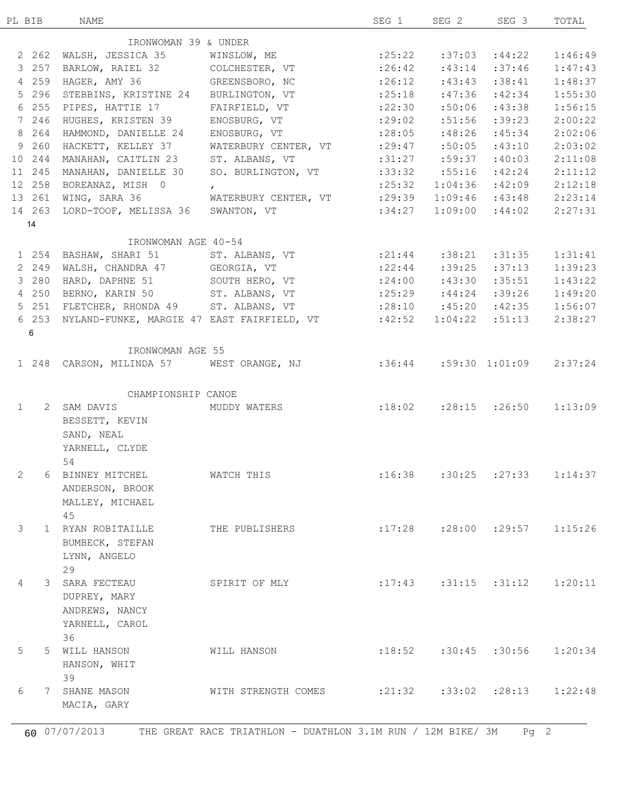| PL BIB       | NAME                                 |                                                                        | SEG 1                                | SEG 2  | SEG 3                         | TOTAL                                    |
|--------------|--------------------------------------|------------------------------------------------------------------------|--------------------------------------|--------|-------------------------------|------------------------------------------|
|              | IRONWOMAN 39 & UNDER                 |                                                                        |                                      |        |                               |                                          |
| 2 262        |                                      | WALSH, JESSICA 35 WINSLOW, ME :25:22 :37:03 :44:22                     |                                      |        |                               | 1:46:49                                  |
| 3 257        |                                      | BARLOW, RAIEL 32 COLCHESTER, VT :26:42 :43:14                          |                                      |        | :37:46                        | 1:47:43                                  |
| 4 259        | HAGER, AMY 36 GREENSBORO, NC         |                                                                        | $: 26:12$ $: 43:43$                  |        | :38:41                        | 1:48:37                                  |
| 5 296        |                                      | STEBBINS, KRISTINE 24 BURLINGTON, VT :25:18                            |                                      | :47:36 | :42:34                        | 1:55:30                                  |
| 6 255        | PIPES, HATTIE 17                     |                                                                        | : 22:30                              | :50:06 | :43:38                        | 1:56:15                                  |
| 7 246        |                                      | FAIRFIELD, VT<br>ENOSBURG, VT                                          |                                      |        |                               |                                          |
|              | HUGHES, KRISTEN 39                   |                                                                        | : 29:02                              | :51:56 | :39:23                        | 2:00:22                                  |
| 8 264        | HAMMOND, DANIELLE 24                 | ENOSBURG, VT                                                           | $:28:05$ $:48:26$                    |        | :45:34                        | 2:02:06                                  |
| 9 260        | HACKETT, KELLEY 37                   | WATERBURY CENTER, VT :29:47 :50:05                                     |                                      |        | :43:10                        | 2:03:02                                  |
| 10 244       | MANAHAN, CAITLIN 23                  | ST. ALBANS, VT                                                         | $:31:27$ $:59:37$                    |        | :40:03                        | 2:11:08                                  |
| 11 245       | MANAHAN, DANIELLE 30                 | SO. BURLINGTON, VT :33:32 :55:16                                       |                                      |        | :42:24                        | 2:11:12                                  |
| 12 258       | BOREANAZ, MISH 0                     | $\mathbf{r}$                                                           | : 25:32                              |        | $1:04:36$ :42:09              | 2:12:18                                  |
| 13 261       | WING, SARA 36                        | WATERBURY CENTER, VT :29:39                                            |                                      |        | $1:09:46$ $:43:48$ $2:23:14$  |                                          |
| 14 263       | LORD-TOOF, MELISSA 36 SWANTON, VT    |                                                                        | :34:27                               |        | $1:09:00$ :44:02              | 2:27:31                                  |
| 14           |                                      |                                                                        |                                      |        |                               |                                          |
|              | IRONWOMAN AGE 40-54                  |                                                                        |                                      |        |                               |                                          |
|              |                                      | 1 254 BASHAW, SHARI 51 ST. ALBANS, VT                                  | : 21:44                              |        | $:38:21$ $:31:35$             | 1:31:41                                  |
| 2 249        | WALSH, CHANDRA 47 GEORGIA, VT        |                                                                        | $: 22:44$ $: 39:25$                  |        | :37:13                        | 1:39:23                                  |
| 3 280        |                                      | HARD, DAPHNE 51 SOUTH HERO, VT : 24:00 :43:30                          |                                      |        | :35:51                        | 1:43:22                                  |
| 4 250        |                                      | BERNO, KARIN 50 ST. ALBANS, VT : 25:29 : 44:24 : 39:26                 |                                      |        |                               | 1:49:20                                  |
| 5 251        |                                      | FLETCHER, RHONDA 49 ST. ALBANS, VT : 28:10 :45:20 :42:35 1:56:07       |                                      |        |                               |                                          |
| 6 253        |                                      | NYLAND-FUNKE, MARGIE 47 EAST FAIRFIELD, VT :42:52                      |                                      |        | $1:04:22$ $:51:13$            | 2:38:27                                  |
| 6            |                                      |                                                                        |                                      |        |                               |                                          |
|              | IRONWOMAN AGE 55                     |                                                                        |                                      |        |                               |                                          |
|              |                                      | 1 248 CARSON, MILINDA 57 WEST ORANGE, NJ :36:44 :59:30 1:01:09 2:37:24 |                                      |        |                               |                                          |
|              |                                      |                                                                        |                                      |        |                               |                                          |
|              | CHAMPIONSHIP CANOE                   |                                                                        |                                      |        |                               |                                          |
| $\mathbf{1}$ |                                      | 2 SAM DAVIS MUDDY WATERS :18:02 :28:15 :26:50 1:13:09                  |                                      |        |                               |                                          |
|              | BESSETT, KEVIN                       |                                                                        |                                      |        |                               |                                          |
|              | SAND, NEAL                           |                                                                        |                                      |        |                               |                                          |
|              |                                      |                                                                        |                                      |        |                               |                                          |
|              |                                      |                                                                        |                                      |        |                               |                                          |
|              | YARNELL, CLYDE                       |                                                                        |                                      |        |                               |                                          |
|              | 54                                   |                                                                        |                                      |        |                               |                                          |
|              | 2 6 BINNEY MITCHEL <b>WATCH THIS</b> |                                                                        | $:16:38$ $:30:25$ $:27:33$ $1:14:37$ |        |                               |                                          |
|              | ANDERSON, BROOK                      |                                                                        |                                      |        |                               |                                          |
|              | MALLEY, MICHAEL                      |                                                                        |                                      |        |                               |                                          |
|              | 45                                   |                                                                        |                                      |        |                               |                                          |
| 3            | 1 RYAN ROBITAILLE                    | THE PUBLISHERS                                                         |                                      |        | $:17:28$ $:28:00$ $:29:57$    |                                          |
|              | BUMBECK, STEFAN                      |                                                                        |                                      |        |                               |                                          |
|              | LYNN, ANGELO                         |                                                                        |                                      |        |                               |                                          |
|              | 29                                   |                                                                        |                                      |        |                               |                                          |
| $4^{\circ}$  | 3 SARA FECTEAU                       | SPIRIT OF MLY                                                          |                                      |        | $: 17:43$ $: 31:15$ $: 31:12$ |                                          |
|              |                                      |                                                                        |                                      |        |                               |                                          |
|              | DUPREY, MARY                         |                                                                        |                                      |        |                               |                                          |
|              | ANDREWS, NANCY                       |                                                                        |                                      |        |                               |                                          |
|              | YARNELL, CAROL                       |                                                                        |                                      |        |                               |                                          |
|              | 36                                   |                                                                        |                                      |        |                               |                                          |
| 5            | 5 WILL HANSON                        | WILL HANSON                                                            |                                      |        | $:18:52$ $:30:45$ $:30:56$    |                                          |
|              | HANSON, WHIT                         |                                                                        |                                      |        |                               |                                          |
|              | 39                                   |                                                                        |                                      |        |                               |                                          |
| 6            | 7 SHANE MASON<br>MACIA, GARY         | WITH STRENGTH COMES                                                    | $:21:32$ $:33:02$ $:28:13$           |        |                               | 1:15:26<br>1:20:11<br>1:20:34<br>1:22:48 |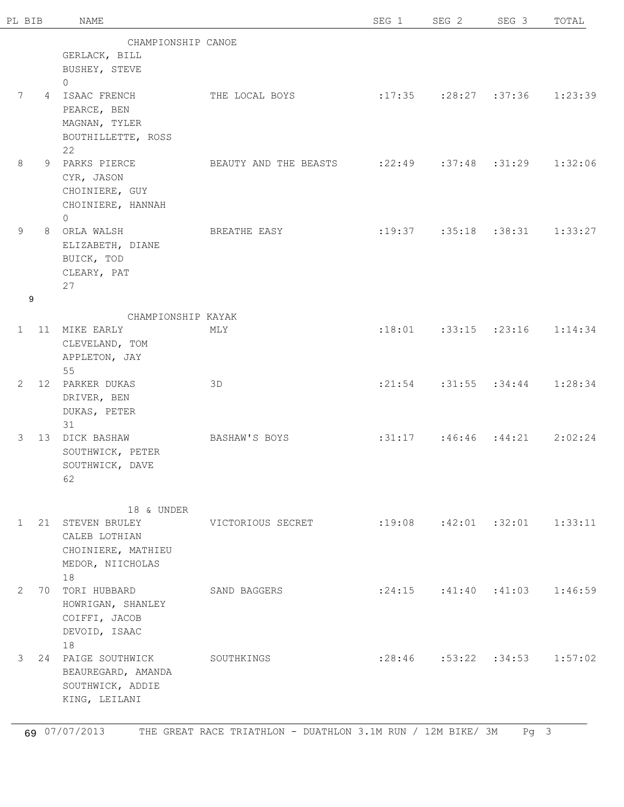| PL BIB                |   | <b>NAME</b>                    |                                                       | SEG 1 | SEG <sub>2</sub>                        | SEG 3 | TOTAL   |
|-----------------------|---|--------------------------------|-------------------------------------------------------|-------|-----------------------------------------|-------|---------|
|                       |   | CHAMPIONSHIP CANOE             |                                                       |       |                                         |       |         |
|                       |   | GERLACK, BILL                  |                                                       |       |                                         |       |         |
|                       |   | BUSHEY, STEVE                  |                                                       |       |                                         |       |         |
|                       |   | $\Omega$                       |                                                       |       |                                         |       |         |
| $7\phantom{.0}$       |   | 4 ISAAC FRENCH                 | THE LOCAL BOYS                                        |       | $: 17:35$ $: 28:27$ $: 37:36$ $1:23:39$ |       |         |
|                       |   | PEARCE, BEN                    |                                                       |       |                                         |       |         |
|                       |   | MAGNAN, TYLER                  |                                                       |       |                                         |       |         |
|                       |   | BOUTHILLETTE, ROSS             |                                                       |       |                                         |       |         |
|                       |   | 22                             |                                                       |       |                                         |       |         |
| 8                     |   | 9 PARKS PIERCE                 | BEAUTY AND THE BEASTS : 22:49 : 37:48 : 31:29 1:32:06 |       |                                         |       |         |
|                       |   | CYR, JASON                     |                                                       |       |                                         |       |         |
|                       |   |                                |                                                       |       |                                         |       |         |
|                       |   | CHOINIERE, GUY                 |                                                       |       |                                         |       |         |
|                       |   | CHOINIERE, HANNAH              |                                                       |       |                                         |       |         |
| 9                     |   | $\Omega$<br>8 ORLA WALSH       | BREATHE EASY                                          |       | $: 19:37$ $: 35:18$ $: 38:31$ $1:33:27$ |       |         |
|                       |   | ELIZABETH, DIANE               |                                                       |       |                                         |       |         |
|                       |   | BUICK, TOD                     |                                                       |       |                                         |       |         |
|                       |   | CLEARY, PAT                    |                                                       |       |                                         |       |         |
|                       |   | 27                             |                                                       |       |                                         |       |         |
|                       | 9 |                                |                                                       |       |                                         |       |         |
|                       |   |                                |                                                       |       |                                         |       |         |
|                       |   | CHAMPIONSHIP KAYAK             |                                                       |       |                                         |       |         |
|                       |   | 1 11 MIKE EARLY                | MLY                                                   |       | $: 18:01$ $: 33:15$ $: 23:16$ $1:14:34$ |       |         |
|                       |   | CLEVELAND, TOM                 |                                                       |       |                                         |       |         |
|                       |   | APPLETON, JAY                  |                                                       |       |                                         |       |         |
| $\overline{2}$        |   | 55                             | 3D                                                    |       | $: 21:54$ $: 31:55$ $: 34:44$ $1:28:34$ |       |         |
|                       |   | 12 PARKER DUKAS                |                                                       |       |                                         |       |         |
|                       |   | DRIVER, BEN<br>DUKAS, PETER    |                                                       |       |                                         |       |         |
|                       |   | 31                             |                                                       |       |                                         |       |         |
| 3                     |   | 13 DICK BASHAW                 | BASHAW'S BOYS                                         |       | $:31:17$ $:46:46$ $:44:21$              |       | 2:02:24 |
|                       |   | SOUTHWICK, PETER               |                                                       |       |                                         |       |         |
|                       |   | SOUTHWICK, DAVE                |                                                       |       |                                         |       |         |
|                       |   | 62                             |                                                       |       |                                         |       |         |
|                       |   |                                |                                                       |       |                                         |       |         |
|                       |   |                                |                                                       |       |                                         |       |         |
|                       |   | 18 & UNDER                     |                                                       |       |                                         |       |         |
|                       |   | 1 21 STEVEN BRULEY             | VICTORIOUS SECRET                                     |       | $: 19:08$ $: 42:01$ $: 32:01$ $1:33:11$ |       |         |
|                       |   | CALEB LOTHIAN                  |                                                       |       |                                         |       |         |
|                       |   | CHOINIERE, MATHIEU             |                                                       |       |                                         |       |         |
|                       |   | MEDOR, NIICHOLAS               |                                                       |       |                                         |       |         |
|                       |   | 18                             | SAND BAGGERS                                          |       |                                         |       |         |
| $\mathbf{2}^{\prime}$ |   | 70 TORI HUBBARD                |                                                       |       | $: 24:15$ $: 41:40$ $: 41:03$ $1:46:59$ |       |         |
|                       |   | HOWRIGAN, SHANLEY              |                                                       |       |                                         |       |         |
|                       |   | COIFFI, JACOB<br>DEVOID, ISAAC |                                                       |       |                                         |       |         |
|                       |   | 18                             |                                                       |       |                                         |       |         |
| 3                     |   | 24 PAIGE SOUTHWICK             | SOUTHKINGS                                            |       | $: 28:46$ $: 53:22$ $: 34:53$ $1:57:02$ |       |         |
|                       |   | BEAUREGARD, AMANDA             |                                                       |       |                                         |       |         |
|                       |   | SOUTHWICK, ADDIE               |                                                       |       |                                         |       |         |
|                       |   | KING, LEILANI                  |                                                       |       |                                         |       |         |
|                       |   |                                |                                                       |       |                                         |       |         |
|                       |   |                                |                                                       |       |                                         |       |         |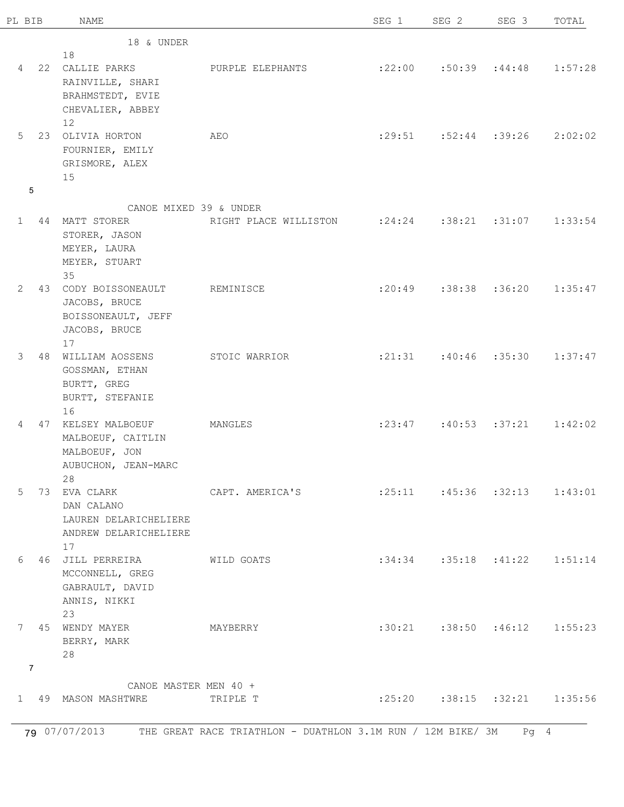| PL BIB                |                | <b>NAME</b>                         |                                                       | SEG 1 | SEG 2                                   | SEG 3 | TOTAL   |
|-----------------------|----------------|-------------------------------------|-------------------------------------------------------|-------|-----------------------------------------|-------|---------|
|                       |                | 18 & UNDER                          |                                                       |       |                                         |       |         |
|                       |                | 18                                  |                                                       |       |                                         |       |         |
|                       |                | 4 22 CALLIE PARKS                   | PURPLE ELEPHANTS                                      |       | $:22:00$ $:50:39$ $:44:48$              |       | 1:57:28 |
|                       |                | RAINVILLE, SHARI                    |                                                       |       |                                         |       |         |
|                       |                | BRAHMSTEDT, EVIE                    |                                                       |       |                                         |       |         |
|                       |                | CHEVALIER, ABBEY                    |                                                       |       |                                         |       |         |
|                       |                | 12                                  |                                                       |       |                                         |       |         |
| 5                     |                | 23 OLIVIA HORTON                    | AEO                                                   |       | $:29:51$ $:52:44$ $:39:26$              |       | 2:02:02 |
|                       |                | FOURNIER, EMILY                     |                                                       |       |                                         |       |         |
|                       |                | GRISMORE, ALEX                      |                                                       |       |                                         |       |         |
|                       |                | 15                                  |                                                       |       |                                         |       |         |
|                       | 5              |                                     |                                                       |       |                                         |       |         |
|                       |                | CANOE MIXED 39 & UNDER              |                                                       |       |                                         |       |         |
|                       |                | 1 44 MATT STORER                    | RIGHT PLACE WILLISTON : 24:24 : 38:21 : 31:07 1:33:54 |       |                                         |       |         |
|                       |                | STORER, JASON                       |                                                       |       |                                         |       |         |
|                       |                | MEYER, LAURA                        |                                                       |       |                                         |       |         |
|                       |                | MEYER, STUART                       |                                                       |       |                                         |       |         |
|                       |                | 35                                  |                                                       |       |                                         |       |         |
| $\mathbf{2}^{\prime}$ |                | 43 CODY BOISSONEAULT                | REMINISCE                                             |       | $: 20:49$ $: 38:38$ $: 36:20$           |       | 1:35:47 |
|                       |                | JACOBS, BRUCE                       |                                                       |       |                                         |       |         |
|                       |                |                                     |                                                       |       |                                         |       |         |
|                       |                | BOISSONEAULT, JEFF<br>JACOBS, BRUCE |                                                       |       |                                         |       |         |
|                       |                | 17                                  |                                                       |       |                                         |       |         |
| 3                     |                | 48 WILLIAM AOSSENS                  | STOIC WARRIOR                                         |       | $: 21:31$ $: 40:46$ $: 35:30$           |       | 1:37:47 |
|                       |                | GOSSMAN, ETHAN                      |                                                       |       |                                         |       |         |
|                       |                | BURTT, GREG                         |                                                       |       |                                         |       |         |
|                       |                | BURTT, STEFANIE                     |                                                       |       |                                         |       |         |
|                       |                | 16                                  |                                                       |       |                                         |       |         |
| 4                     |                | 47 KELSEY MALBOEUF                  | MANGLES                                               |       | $: 23:47$ $: 40:53$ $: 37:21$           |       | 1:42:02 |
|                       |                | MALBOEUF, CAITLIN                   |                                                       |       |                                         |       |         |
|                       |                | MALBOEUF, JON                       |                                                       |       |                                         |       |         |
|                       |                | AUBUCHON, JEAN-MARC                 |                                                       |       |                                         |       |         |
|                       |                | 28                                  |                                                       |       |                                         |       |         |
| 5                     |                | 73 EVA CLARK                        | CAPT. AMERICA'S                                       |       | $:25:11$ $:45:36$ $:32:13$ $1:43:01$    |       |         |
|                       |                | DAN CALANO                          |                                                       |       |                                         |       |         |
|                       |                | LAUREN DELARICHELIERE               |                                                       |       |                                         |       |         |
|                       |                | ANDREW DELARICHELIERE               |                                                       |       |                                         |       |         |
|                       |                | 17                                  |                                                       |       |                                         |       |         |
| 6                     |                | 46 JILL PERREIRA                    | WILD GOATS                                            |       | $:34:34$ $:35:18$ $:41:22$ $1:51:14$    |       |         |
|                       |                | MCCONNELL, GREG                     |                                                       |       |                                         |       |         |
|                       |                | GABRAULT, DAVID                     |                                                       |       |                                         |       |         |
|                       |                | ANNIS, NIKKI                        |                                                       |       |                                         |       |         |
|                       |                | 23                                  |                                                       |       |                                         |       |         |
| $7^{\circ}$           |                | 45 WENDY MAYER                      | MAYBERRY                                              |       | $:30:21$ $:38:50$ $:46:12$ $1:55:23$    |       |         |
|                       |                | BERRY, MARK                         |                                                       |       |                                         |       |         |
|                       |                | 28                                  |                                                       |       |                                         |       |         |
|                       | $\overline{7}$ |                                     |                                                       |       |                                         |       |         |
|                       |                | CANOE MASTER MEN 40 +               |                                                       |       |                                         |       |         |
|                       |                | 1 49 MASON MASHTWRE                 | TRIPLE T                                              |       | $: 25:20$ $: 38:15$ $: 32:21$ $1:35:56$ |       |         |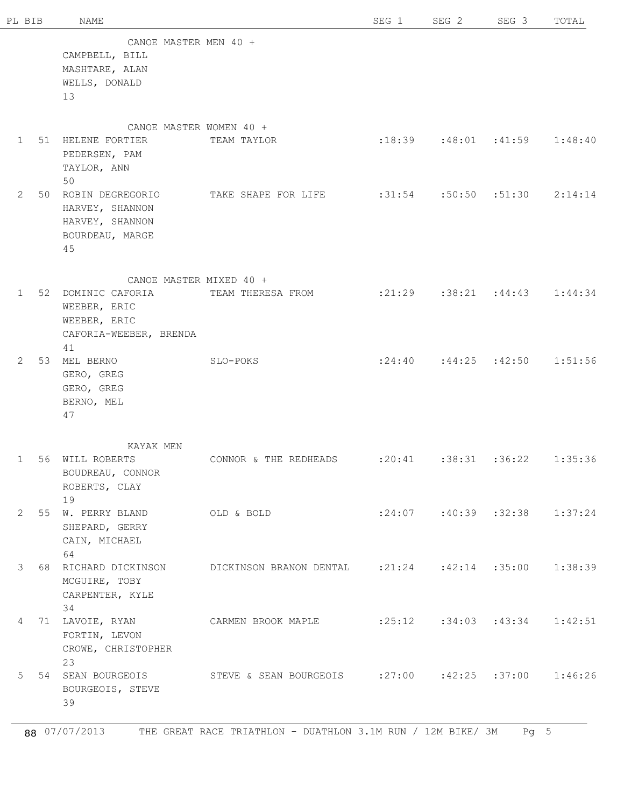| PL BIB      |    | NAME                                                                                     |                                                      | SEG 1                      | SEG <sub>2</sub>                        | SEG 3 | TOTAL   |
|-------------|----|------------------------------------------------------------------------------------------|------------------------------------------------------|----------------------------|-----------------------------------------|-------|---------|
|             |    | CANOE MASTER MEN 40 +<br>CAMPBELL, BILL<br>MASHTARE, ALAN<br>WELLS, DONALD<br>13         |                                                      |                            |                                         |       |         |
| $\mathbf 1$ |    | 51 HELENE FORTIER<br>PEDERSEN, PAM<br>TAYLOR, ANN                                        | CANOE MASTER WOMEN 40 +<br>TEAM TAYLOR               |                            | $:18:39$ $:48:01$ $:41:59$              |       | 1:48:40 |
| 2           |    | 50<br>50 ROBIN DEGREGORIO<br>HARVEY, SHANNON<br>HARVEY, SHANNON<br>BOURDEAU, MARGE<br>45 | TAKE SHAPE FOR LIFE                                  |                            | $:31:54$ $:50:50$ $:51:30$              |       | 2:14:14 |
| $\mathbf 1$ |    | 52 DOMINIC CAFORIA<br>WEEBER, ERIC<br>WEEBER, ERIC<br>CAFORIA-WEEBER, BRENDA<br>41       | CANOE MASTER MIXED 40 +<br>TEAM THERESA FROM         |                            | $: 21:29$ $: 38:21$ $: 44:43$ $1:44:34$ |       |         |
| 2           |    | 53 MEL BERNO<br>GERO, GREG<br>GERO, GREG<br>BERNO, MEL<br>47                             | SLO-POKS                                             |                            | $: 24:40$ $: 44:25$ $: 42:50$           |       | 1:51:56 |
| 1           | 56 | KAYAK MEN<br>WILL ROBERTS<br>BOUDREAU, CONNOR<br>ROBERTS, CLAY<br>19                     | CONNOR & THE REDHEADS                                | $:20:41$ $:38:31$ $:36:22$ |                                         |       | 1:35:36 |
| 2           |    | 55 W. PERRY BLAND<br>SHEPARD, GERRY<br>CAIN, MICHAEL<br>64                               | OLD & BOLD                                           |                            | $: 24:07$ $: 40:39$ $: 32:38$ $1:37:24$ |       |         |
| 3           |    | 68 RICHARD DICKINSON<br>MCGUIRE, TOBY<br>CARPENTER, KYLE<br>34                           | DICKINSON BRANON DENTAL :21:24 :42:14 :35:00 1:38:39 |                            |                                         |       |         |
| 4           |    | 71 LAVOIE, RYAN<br>FORTIN, LEVON<br>CROWE, CHRISTOPHER<br>23                             | CARMEN BROOK MAPLE : 25:12 : 34:03 : 43:34 1:42:51   |                            |                                         |       |         |
| 5           |    | 54 SEAN BOURGEOIS<br>BOURGEOIS, STEVE<br>39                                              | STEVE & SEAN BOURGEOIS :27:00 :42:25 :37:00 1:46:26  |                            |                                         |       |         |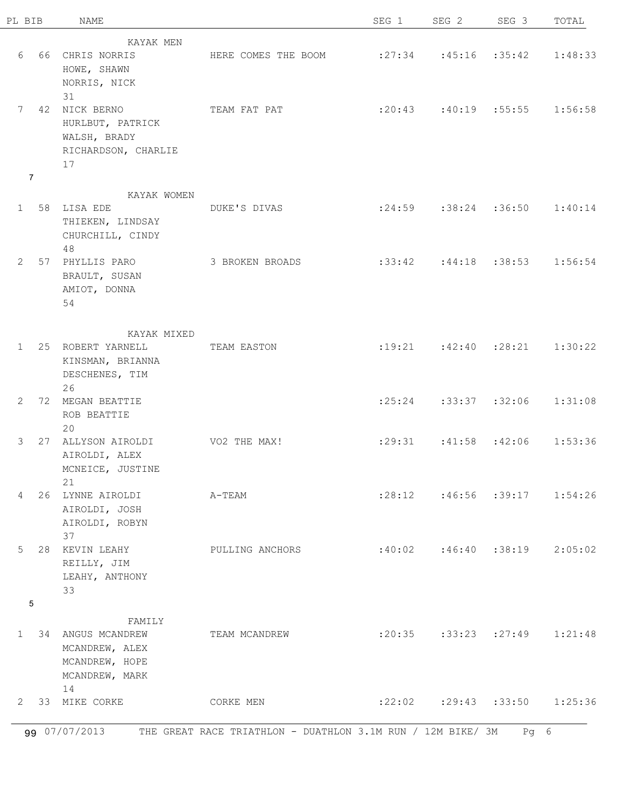| PL BIB         | NAME                                                                                   |                     | SEG 1                         | SEG 2                                   | SEG 3 | TOTAL   |
|----------------|----------------------------------------------------------------------------------------|---------------------|-------------------------------|-----------------------------------------|-------|---------|
|                | KAYAK MEN                                                                              |                     |                               |                                         |       |         |
| 6              | 66 CHRIS NORRIS<br>HOWE, SHAWN<br>NORRIS, NICK                                         | HERE COMES THE BOOM | $: 27:34$ $: 45:16$ $: 35:42$ |                                         |       | 1:48:33 |
| $\overline{7}$ | 31<br>7 42 NICK BERNO<br>HURLBUT, PATRICK<br>WALSH, BRADY<br>RICHARDSON, CHARLIE<br>17 | TEAM FAT PAT        |                               | $:20:43$ $:40:19$ $:55:55$ $1:56:58$    |       |         |
|                | KAYAK WOMEN                                                                            |                     |                               |                                         |       |         |
| $1 \quad$      | 58 LISA EDE<br>THIEKEN, LINDSAY<br>CHURCHILL, CINDY<br>48                              | DUKE'S DIVAS        |                               | $:24:59$ $:38:24$ $:36:50$              |       | 1:40:14 |
| $\overline{2}$ | 57 PHYLLIS PARO<br>BRAULT, SUSAN<br>AMIOT, DONNA<br>54                                 | 3 BROKEN BROADS     | $:33:42$ $:44:18$ $:38:53$    |                                         |       | 1:56:54 |
|                | KAYAK MIXED                                                                            |                     |                               |                                         |       |         |
| $\mathbf{1}$   | 25 ROBERT YARNELL<br>KINSMAN, BRIANNA<br>DESCHENES, TIM                                | TEAM EASTON         |                               | $: 19:21$ $: 42:40$ $: 28:21$           |       | 1:30:22 |
| $\mathbf{2}$   | 26<br>72 MEGAN BEATTIE<br>ROB BEATTIE<br>20                                            |                     |                               | $: 25:24$ $: 33:37$ $: 32:06$ $1:31:08$ |       |         |
| 3              | 27 ALLYSON AIROLDI<br>AIROLDI, ALEX<br>MCNEICE, JUSTINE<br>21                          | VO2 THE MAX!        |                               | $:29:31$ $:41:58$ $:42:06$              |       | 1:53:36 |
| 4              | 26 LYNNE AIROLDI<br>AIROLDI, JOSH<br>AIROLDI, ROBYN                                    | A-TEAM              |                               | $: 28:12$ $: 46:56$ $: 39:17$           |       | 1:54:26 |
| 5              | 37<br>28 KEVIN LEAHY<br>REILLY, JIM<br>LEAHY, ANTHONY<br>33                            | PULLING ANCHORS     |                               | $:40:02$ $:46:40$ $:38:19$              |       | 2:05:02 |
| 5              | FAMILY                                                                                 |                     |                               |                                         |       |         |
| $\mathbf{1}$   | 34 ANGUS MCANDREW<br>MCANDREW, ALEX<br>MCANDREW, HOPE<br>MCANDREW, MARK                | TEAM MCANDREW       |                               | $:20:35$ $:33:23$ $:27:49$              |       | 1:21:48 |
|                | 14<br>2 33 MIKE CORKE                                                                  | CORKE MEN           |                               | $:22:02$ $:29:43$ $:33:50$              |       | 1:25:36 |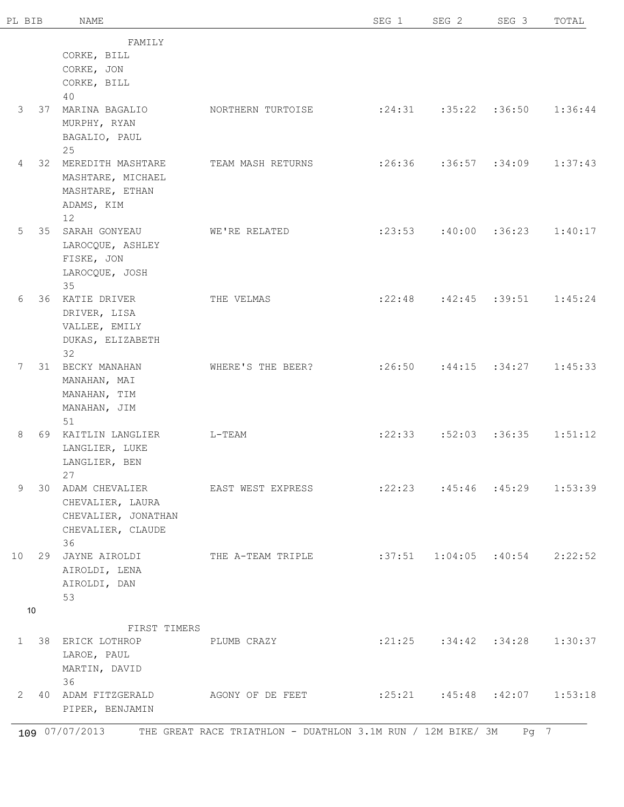| PL BIB       | NAME                    |                                                    | SEG 1                                   | SEG <sub>2</sub>                        | SEG 3 | TOTAL   |
|--------------|-------------------------|----------------------------------------------------|-----------------------------------------|-----------------------------------------|-------|---------|
|              | FAMILY                  |                                                    |                                         |                                         |       |         |
|              | CORKE, BILL             |                                                    |                                         |                                         |       |         |
|              | CORKE, JON              |                                                    |                                         |                                         |       |         |
|              | CORKE, BILL             |                                                    |                                         |                                         |       |         |
|              | 40                      |                                                    |                                         |                                         |       |         |
| 3<br>37      | MARINA BAGALIO          | NORTHERN TURTOISE                                  | $: 24:31$ $: 35:22$ $: 36:50$ $1:36:44$ |                                         |       |         |
|              | MURPHY, RYAN            |                                                    |                                         |                                         |       |         |
|              | BAGALIO, PAUL           |                                                    |                                         |                                         |       |         |
|              | 25                      |                                                    |                                         |                                         |       |         |
| 4            | 32 MEREDITH MASHTARE    | TEAM MASH RETURNS                                  |                                         | $:26:36$ $:36:57$ $:34:09$              |       | 1:37:43 |
|              | MASHTARE, MICHAEL       |                                                    |                                         |                                         |       |         |
|              | MASHTARE, ETHAN         |                                                    |                                         |                                         |       |         |
|              | ADAMS, KIM              |                                                    |                                         |                                         |       |         |
|              | 12                      |                                                    |                                         |                                         |       |         |
| 5            | 35 SARAH GONYEAU        | WE'RE RELATED                                      |                                         | $: 23:53$ $: 40:00$ $: 36:23$           |       | 1:40:17 |
|              | LAROCQUE, ASHLEY        |                                                    |                                         |                                         |       |         |
|              | FISKE, JON              |                                                    |                                         |                                         |       |         |
|              | LAROCQUE, JOSH          |                                                    |                                         |                                         |       |         |
|              | 35                      |                                                    |                                         |                                         |       |         |
| 6            | 36 KATIE DRIVER         | THE VELMAS                                         |                                         | $:22:48$ $:42:45$ $:39:51$              |       | 1:45:24 |
|              | DRIVER, LISA            |                                                    |                                         |                                         |       |         |
|              | VALLEE, EMILY           |                                                    |                                         |                                         |       |         |
|              | DUKAS, ELIZABETH        |                                                    |                                         |                                         |       |         |
|              | 32                      |                                                    |                                         |                                         |       |         |
| $7^{\circ}$  | 31 BECKY MANAHAN        | WHERE'S THE BEER?                                  |                                         | $: 26:50$ $: 44:15$ $: 34:27$ $1:45:33$ |       |         |
|              | MANAHAN, MAI            |                                                    |                                         |                                         |       |         |
|              | MANAHAN, TIM            |                                                    |                                         |                                         |       |         |
|              | MANAHAN, JIM            |                                                    |                                         |                                         |       |         |
|              | 51                      |                                                    |                                         |                                         |       |         |
| 8            | 69 KAITLIN LANGLIER     | $L-TEAM$                                           |                                         | $:22:33$ $:52:03$ $:36:35$              |       | 1:51:12 |
|              | LANGLIER, LUKE          |                                                    |                                         |                                         |       |         |
|              | LANGLIER, BEN           |                                                    |                                         |                                         |       |         |
| 9            | 27<br>30 ADAM CHEVALIER | EAST WEST EXPRESS                                  | $:22:23$ $:45:46$ $:45:29$              |                                         |       | 1:53:39 |
|              | CHEVALIER, LAURA        |                                                    |                                         |                                         |       |         |
|              | CHEVALIER, JONATHAN     |                                                    |                                         |                                         |       |         |
|              | CHEVALIER, CLAUDE       |                                                    |                                         |                                         |       |         |
|              | 36                      |                                                    |                                         |                                         |       |         |
|              | 10 29 JAYNE AIROLDI     | THE A-TEAM TRIPLE :37:51  1:04:05  :40:54  2:22:52 |                                         |                                         |       |         |
|              | AIROLDI, LENA           |                                                    |                                         |                                         |       |         |
|              | AIROLDI, DAN            |                                                    |                                         |                                         |       |         |
|              | 53                      |                                                    |                                         |                                         |       |         |
| 10           |                         |                                                    |                                         |                                         |       |         |
|              | FIRST TIMERS            |                                                    |                                         |                                         |       |         |
|              | 1 38 ERICK LOTHROP      | PLUMB CRAZY                                        |                                         | $:21:25$ $:34:42$ $:34:28$ $1:30:37$    |       |         |
|              | LAROE, PAUL             |                                                    |                                         |                                         |       |         |
|              | MARTIN, DAVID           |                                                    |                                         |                                         |       |         |
|              | 36                      |                                                    |                                         |                                         |       |         |
| $\mathbf{2}$ |                         |                                                    | $:25:21$ $:45:48$ $:42:07$ $1:53:18$    |                                         |       |         |
|              |                         |                                                    |                                         |                                         |       |         |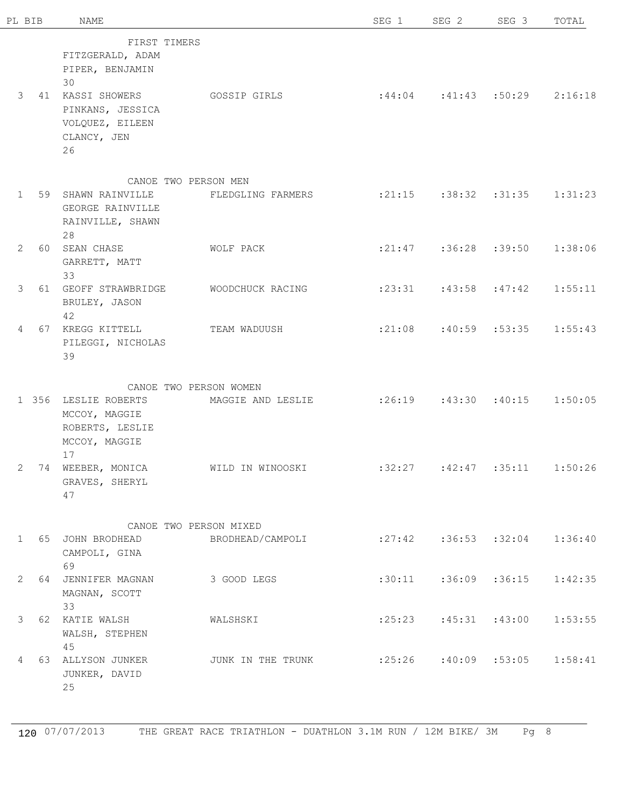| PL BIB    | <b>NAME</b>                                                                   |                                             | SEG 1                                   | SEG 2                                | SEG 3             | TOTAL   |
|-----------|-------------------------------------------------------------------------------|---------------------------------------------|-----------------------------------------|--------------------------------------|-------------------|---------|
| 3         | FIRST TIMERS<br>FITZGERALD, ADAM<br>PIPER, BENJAMIN<br>30<br>41 KASSI SHOWERS | GOSSIP GIRLS                                | $:44:04$ $:41:43$ $:50:29$ $2:16:18$    |                                      |                   |         |
|           | PINKANS, JESSICA<br>VOLQUEZ, EILEEN<br>CLANCY, JEN<br>26                      |                                             |                                         |                                      |                   |         |
|           | 1 59 SHAWN RAINVILLE<br>GEORGE RAINVILLE<br>RAINVILLE, SHAWN<br>28            | CANOE TWO PERSON MEN<br>FLEDGLING FARMERS   | $:21:15$ $:38:32$ $:31:35$ $1:31:23$    |                                      |                   |         |
| 2         | 60 SEAN CHASE<br>GARRETT, MATT<br>33                                          | WOLF PACK                                   |                                         | $: 21:47$ $: 36:28$ $: 39:50$        |                   | 1:38:06 |
| 3         | 61 GEOFF STRAWBRIDGE<br>BRULEY, JASON<br>42                                   | WOODCHUCK RACING                            |                                         | $: 23:31$ $: 43:58$ $: 47:42$        |                   | 1:55:11 |
|           | 4 67 KREGG KITTELL<br>PILEGGI, NICHOLAS<br>39                                 | TEAM WADUUSH                                |                                         | $:21:08$ $:40:59$ $:53:35$ $1:55:43$ |                   |         |
|           | 1 356 LESLIE ROBERTS<br>MCCOY, MAGGIE<br>ROBERTS, LESLIE<br>MCCOY, MAGGIE     | CANOE TWO PERSON WOMEN<br>MAGGIE AND LESLIE |                                         | $:26:19$ $:43:30$ $:40:15$           |                   | 1:50:05 |
| 2         | 17<br>74 WEEBER, MONICA<br>GRAVES, SHERYL<br>47                               | WILD IN WINOOSKI                            | :32:27                                  |                                      | $:42:47$ $:35:11$ | 1:50:26 |
|           |                                                                               | CANOE TWO PERSON MIXED                      |                                         |                                      |                   |         |
| $1 \quad$ | 65 JOHN BRODHEAD BRODHEAD/CAMPOLI<br>CAMPOLI, GINA<br>69                      |                                             | $: 27:42$ $: 36:53$ $: 32:04$ $1:36:40$ |                                      |                   |         |
|           | 2 64 JENNIFER MAGNAN<br>MAGNAN, SCOTT<br>33                                   | 3 GOOD LEGS                                 |                                         | $:30:11$ $:36:09$ $:36:15$ $1:42:35$ |                   |         |
|           | 3 62 KATIE WALSH<br>WALSH, STEPHEN<br>45                                      | WALSHSKI                                    |                                         | $:25:23$ $:45:31$ $:43:00$ $1:53:55$ |                   |         |
|           | 4 63 ALLYSON JUNKER<br>JUNKER, DAVID<br>25                                    | JUNK IN THE TRUNK                           | $:25:26$ $:40:09$ $:53:05$              |                                      |                   | 1:58:41 |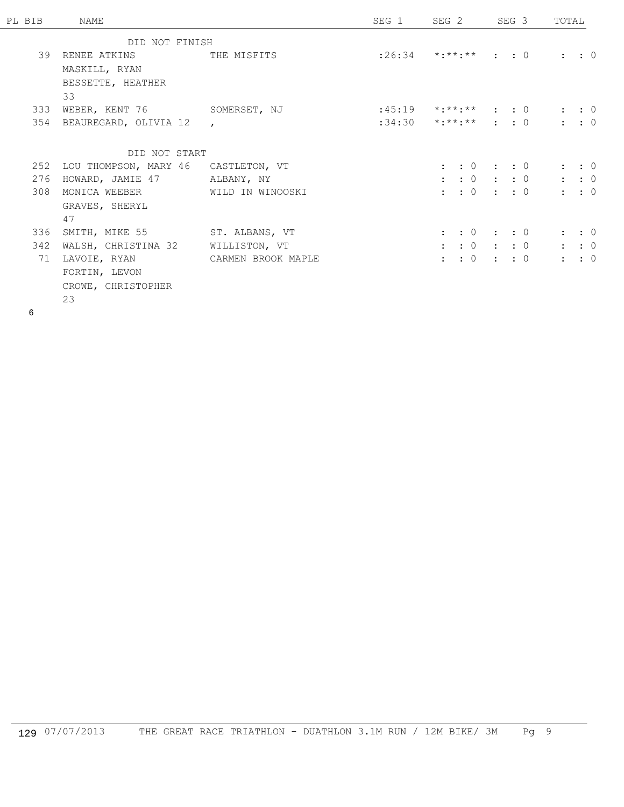| PL BIB |     | NAME                                    |               | SEG 1 | SEG 2                             |  | SEG 3 | TOTAL |                     |  |
|--------|-----|-----------------------------------------|---------------|-------|-----------------------------------|--|-------|-------|---------------------|--|
|        |     | DID NOT FINISH                          |               |       |                                   |  |       |       |                     |  |
|        |     | 39 RENEE ATKINS THE MISFITS             |               |       | $: 26:34$ *:**:** : : 0           |  |       |       | $\colon$ $\colon$ 0 |  |
|        |     | MASKILL, RYAN                           |               |       |                                   |  |       |       |                     |  |
|        |     | BESSETTE, HEATHER                       |               |       |                                   |  |       |       |                     |  |
|        |     | 33                                      |               |       |                                   |  |       |       |                     |  |
|        | 333 | WEBER, KENT 76 SOMERSET, NJ             |               |       | $:45:19$ *:**:** : : 0            |  |       |       | $\colon$ $\colon$ 0 |  |
|        |     | 354 BEAUREGARD, OLIVIA 12               | $\mathbf{r}$  |       | $:34:30$ *:**:** : : 0            |  |       |       | $\colon$ $\colon$ 0 |  |
|        |     |                                         |               |       |                                   |  |       |       |                     |  |
|        |     | DID NOT START                           |               |       |                                   |  |       |       |                     |  |
|        |     | 252 LOU THOMPSON, MARY 46 CASTLETON, VT |               |       | $\colon \: : \: 0 \: : \: : \: 0$ |  |       |       | $\colon$ $\colon$ 0 |  |
|        | 276 | HOWARD, JAMIE 47 ALBANY, NY             |               |       | $\vdots$ $\vdots$ 0 $\vdots$ : 0  |  |       |       | $\colon$ $\colon$ 0 |  |
|        | 308 | MONICA WEEBER WILD IN WINOOSKI          |               |       | $\colon \: : \: 0 \: : \: : \: 0$ |  |       |       | $\colon$ $\colon$ 0 |  |
|        |     | GRAVES, SHERYL                          |               |       |                                   |  |       |       |                     |  |
|        |     | 47                                      |               |       |                                   |  |       |       |                     |  |
|        | 336 | SMITH, MIKE 55 ST. ALBANS, VT           |               |       | $\colon \: : \: 0 \: : \: : \: 0$ |  |       |       | $\colon$ $\colon$ 0 |  |
|        | 342 | WALSH, CHRISTINA 32                     | WILLISTON, VT |       | $\colon \: : \: 0 \: : \: : \: 0$ |  |       |       | $\colon$ $\colon$ 0 |  |
|        | 71  | LAVOIE, RYAN CARMEN BROOK MAPLE         |               |       | $\colon : 0 : : 0$                |  |       |       | $\colon$ $\colon$ 0 |  |
|        |     | FORTIN, LEVON                           |               |       |                                   |  |       |       |                     |  |
|        |     | CROWE, CHRISTOPHER                      |               |       |                                   |  |       |       |                     |  |
|        |     | 23                                      |               |       |                                   |  |       |       |                     |  |

6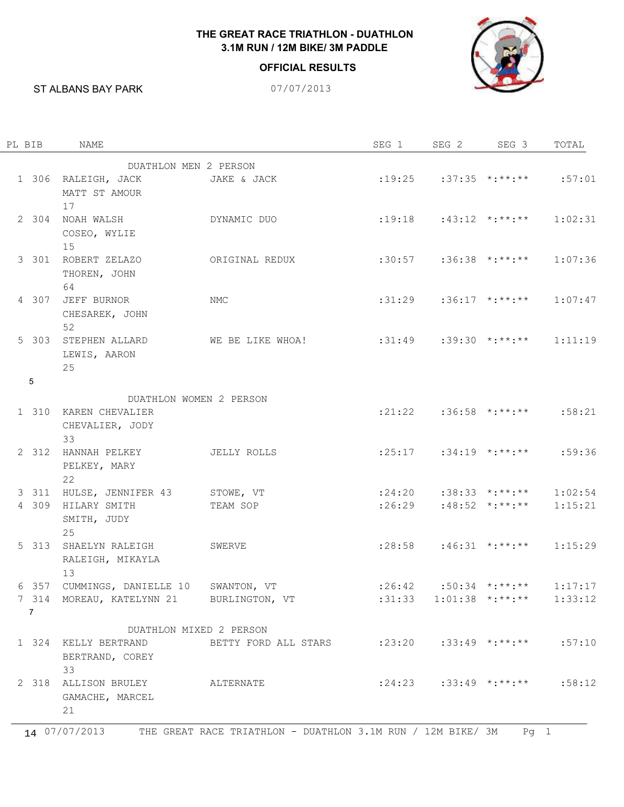## **THE GREAT RACE TRIATHLON - DUATHLON 3.1M RUN / 12M BIKE/ 3M PADDLE**

## **OFFICIAL RESULTS**



ST ALBANS BAY PARK 07/07/2013

| PL BIB         | NAME                                            |                                                      | SEG 1                      | SEG <sub>2</sub> | SEG 3                                         | TOTAL   |
|----------------|-------------------------------------------------|------------------------------------------------------|----------------------------|------------------|-----------------------------------------------|---------|
|                | DUATHLON MEN 2 PERSON                           |                                                      |                            |                  |                                               |         |
|                | 1 306 RALEIGH, JACK<br>MATT ST AMOUR            | JAKE & JACK                                          |                            |                  | $:19:25$ $:37:35$ $*$ $:***$                  | :57:01  |
|                | 17<br>2 304 NOAH WALSH<br>COSEO, WYLIE<br>15    | DYNAMIC DUO                                          |                            |                  | $:19:18$ $:43:12$ $*$ $:***$                  | 1:02:31 |
|                | 3 301 ROBERT ZELAZO<br>THOREN, JOHN<br>64       | ORIGINAL REDUX                                       |                            |                  | $:30:57$ $:36:38$ $* :***$                    | 1:07:36 |
|                | 4 307 JEFF BURNOR<br>CHESAREK, JOHN<br>52       | <b>NMC</b>                                           |                            |                  | $:31:29$ $:36:17$ $*$ $*$ $*$ $*$ $*$         | 1:07:47 |
|                | 5 303 STEPHEN ALLARD<br>LEWIS, AARON<br>25      | WE BE LIKE WHOA!                                     | $:31:49$ $:39:30$ $* :***$ |                  |                                               | 1:11:19 |
| 5              |                                                 |                                                      |                            |                  |                                               |         |
|                | DUATHLON WOMEN 2 PERSON                         |                                                      |                            |                  |                                               |         |
|                | 1 310 KAREN CHEVALIER<br>CHEVALIER, JODY<br>33  |                                                      |                            |                  | $:21:22$ $:36:58$ $* :***$                    | :58:21  |
|                | 2 312 HANNAH PELKEY<br>PELKEY, MARY<br>22       | JELLY ROLLS                                          |                            |                  | $:25:17$ $:34:19$ $*$ : $***$ : $**$          | :59:36  |
|                | 3 311 HULSE, JENNIFER 43 STOWE, VT              |                                                      |                            |                  | $:24:20$ $:38:33$ $* :***$                    | 1:02:54 |
|                | 4 309 HILARY SMITH<br>SMITH, JUDY<br>25         | TEAM SOP                                             |                            |                  | $:26:29$ $:48:52$ $* :***$                    | 1:15:21 |
|                | 5 313 SHAELYN RALEIGH<br>RALEIGH, MIKAYLA<br>13 | SWERVE                                               |                            |                  | $:28:58$ $:46:31$ $*$ $*$ $*$ $*$ $*$         | 1:15:29 |
|                | 6 357 CUMMINGS, DANIELLE 10 SWANTON, VT         |                                                      |                            |                  | $:26:42$ $:50:34$ $* :***$                    | 1:17:17 |
| $\overline{7}$ | 7 314 MOREAU, KATELYNN 21 BURLINGTON, VT        |                                                      |                            |                  | $:31:33$ $1:01:38$ $*$ : $*$ *: $*$ $1:33:12$ |         |
|                | DUATHLON MIXED 2 PERSON                         |                                                      |                            |                  |                                               |         |
|                | 1 324 KELLY BERTRAND<br>BERTRAND, COREY<br>33   | BETTY FORD ALL STARS : 23:20 : 33:49 *:**:** : 57:10 |                            |                  |                                               |         |
|                | 2 318 ALLISON BRULEY<br>GAMACHE, MARCEL<br>21   | ALTERNATE                                            |                            |                  | $:24:23$ $:33:49$ $* :***$ $* :58:12$         |         |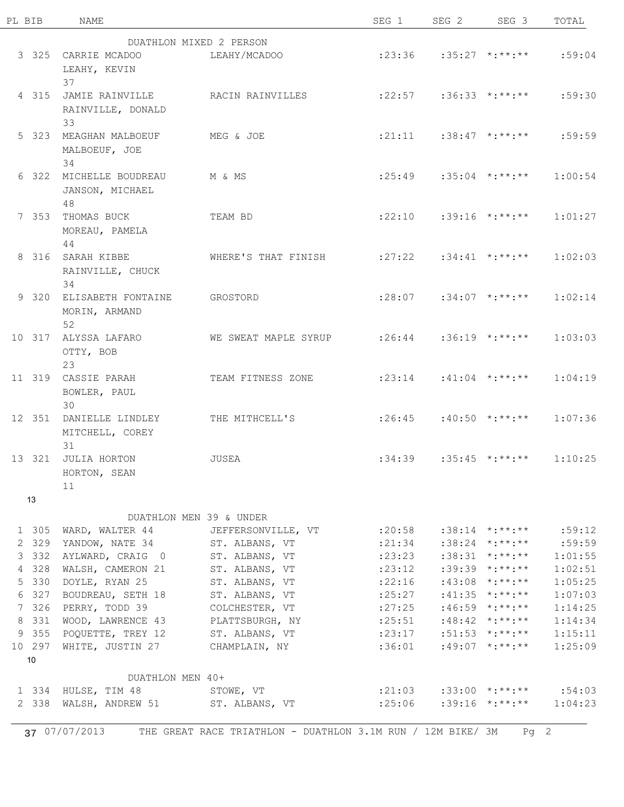| PL BIB          | NAME                                  |                           | SEG 1                               | SEG <sub>2</sub>                      | SEG 3                              | TOTAL   |
|-----------------|---------------------------------------|---------------------------|-------------------------------------|---------------------------------------|------------------------------------|---------|
|                 |                                       | DUATHLON MIXED 2 PERSON   |                                     |                                       |                                    |         |
|                 | 3 325 CARRIE MCADOO                   | LEAHY/MCADOO              |                                     |                                       | $:23:36$ $:35:27$ $*:\ast*\cdot**$ | :59:04  |
|                 | LEAHY, KEVIN                          |                           |                                     |                                       |                                    |         |
|                 | 37                                    |                           |                                     |                                       |                                    |         |
|                 | 4 315 JAMIE RAINVILLE                 | RACIN RAINVILLES          |                                     |                                       | $:22:57$ $:36:33$ $* :***$         | :59:30  |
|                 | RAINVILLE, DONALD                     |                           |                                     |                                       |                                    |         |
|                 | 33                                    |                           |                                     |                                       |                                    |         |
|                 | 5 323 MEAGHAN MALBOEUF                | MEG & JOE                 |                                     |                                       | $: 21:11$ $: 38:47$ $* : ** : **$  | :59:59  |
|                 | MALBOEUF, JOE                         |                           |                                     |                                       |                                    |         |
|                 | 34                                    |                           |                                     |                                       |                                    |         |
| 6 322           | MICHELLE BOUDREAU                     | M & MS                    |                                     | $:25:49$ $:35:04$ $* :***$            |                                    | 1:00:54 |
|                 | JANSON, MICHAEL                       |                           |                                     |                                       |                                    |         |
|                 | 48                                    |                           |                                     |                                       |                                    |         |
|                 | 7 353 THOMAS BUCK                     | TEAM BD                   |                                     |                                       | $:22:10$ $:39:16$ $*$ : $***$      | 1:01:27 |
|                 | MOREAU, PAMELA                        |                           |                                     |                                       |                                    |         |
|                 | 44                                    |                           |                                     |                                       |                                    |         |
|                 | 8 316 SARAH KIBBE                     | WHERE'S THAT FINISH       |                                     | $:27:22$ $:34:41$ $*$ :**:**          |                                    | 1:02:03 |
|                 | RAINVILLE, CHUCK                      |                           |                                     |                                       |                                    |         |
|                 | 34                                    |                           |                                     |                                       |                                    |         |
|                 | 9 320 ELISABETH FONTAINE              | GROSTORD                  | :28:07                              |                                       | $:34:07$ *:**:**                   | 1:02:14 |
|                 | MORIN, ARMAND                         |                           |                                     |                                       |                                    |         |
|                 | 52                                    |                           |                                     |                                       |                                    |         |
|                 | 10 317 ALYSSA LAFARO                  | WE SWEAT MAPLE SYRUP      | $:26:44$ $:36:19$ $* :***$          |                                       |                                    | 1:03:03 |
|                 | OTTY, BOB                             |                           |                                     |                                       |                                    |         |
|                 | 23                                    |                           |                                     |                                       |                                    |         |
|                 | 11 319 CASSIE PARAH                   | TEAM FITNESS ZONE         |                                     |                                       | $: 23:14$ $: 41:04$ $* : ** : **$  | 1:04:19 |
|                 | BOWLER, PAUL                          |                           |                                     |                                       |                                    |         |
|                 | 30                                    |                           |                                     |                                       |                                    |         |
|                 | 12 351 DANIELLE LINDLEY               | THE MITHCELL'S            |                                     |                                       | $:26:45$ $:40:50$ $* :***$         | 1:07:36 |
|                 | MITCHELL, COREY                       |                           |                                     |                                       |                                    |         |
|                 | 31                                    |                           |                                     |                                       |                                    |         |
|                 | 13 321 JULIA HORTON                   | JUSEA                     |                                     |                                       | $:34:39$ $:35:45$ $*$ $*$ $*$ $*$  | 1:10:25 |
|                 | HORTON, SEAN                          |                           |                                     |                                       |                                    |         |
|                 | 11                                    |                           |                                     |                                       |                                    |         |
| 13              |                                       |                           |                                     |                                       |                                    |         |
|                 |                                       | DUATHLON MEN 39 & UNDER   |                                     |                                       |                                    |         |
| 1 305           | WARD, WALTER 44                       | JEFFERSONVILLE, VT :20:58 |                                     |                                       | $:38:14$ *:**:**                   | :59:12  |
| 2 329           | YANDOW, NATE 34                       | ST. ALBANS, VT            |                                     | $:21:34$ $:38:24$ $*$ : $*$ $*$ : $*$ |                                    | :59:59  |
| 3 3 3 2         | AYLWARD, CRAIG 0                      | ST. ALBANS, VT            |                                     | $:23:23$ $:38:31$ $*$ : $*$ $*$ : $*$ |                                    | 1:01:55 |
| 4 328           | WALSH, CAMERON 21                     | ST. ALBANS, VT            | : 23:12                             |                                       | $:39:39$ *:**:**                   | 1:02:51 |
| 5 330           | DOYLE, RYAN 25                        | ST. ALBANS, VT            | :22:16                              |                                       | $:43:08$ *:**:**                   | 1:05:25 |
| 6 327           | BOUDREAU, SETH 18                     | ST. ALBANS, VT            | :25:27                              |                                       | $:41:35$ *:**:**                   | 1:07:03 |
| 7 326           | PERRY, TODD 39                        | COLCHESTER, VT            | : 27:25                             |                                       | $:46:59$ *:**:**                   | 1:14:25 |
| 8 331           | WOOD, LAWRENCE 43                     | PLATTSBURGH, NY :25:51    |                                     |                                       | :48:42 *:**:**                     | 1:14:34 |
| 9 355           | POQUETTE, TREY 12                     | ST. ALBANS, VT :23:17     |                                     |                                       | $:51:53$ *:**:**                   | 1:15:11 |
| 10 297          | WHITE, JUSTIN 27                      | CHAMPLAIN, NY             | :36:01                              |                                       | :49:07 *:**:**                     | 1:25:09 |
| 10 <sup>°</sup> |                                       |                           |                                     |                                       |                                    |         |
|                 | DUATHLON MEN 40+                      |                           |                                     |                                       |                                    |         |
|                 | 1 334 HULSE, TIM 48                   | STOWE, VT                 | $:21:03$ $:33:00$ $* :***$ $:54:03$ |                                       |                                    |         |
|                 | 2 338 WALSH, ANDREW 51 ST. ALBANS, VT |                           |                                     |                                       | $:25:06$ $:39:16$ $* :***$         | 1:04:23 |